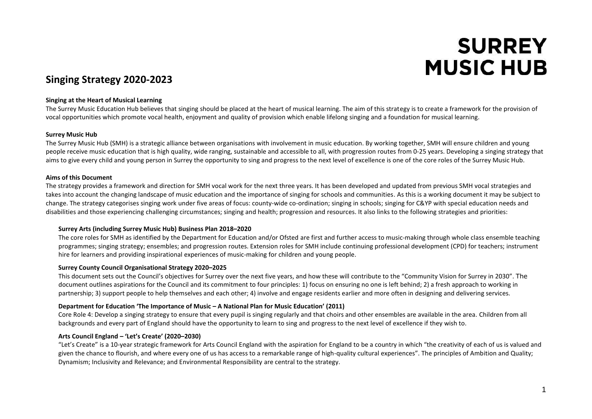# **SURREY MUSIC HUB**

# **Singing Strategy 2020-2023**

#### **Singing at the Heart of Musical Learning**

The Surrey Music Education Hub believes that singing should be placed at the heart of musical learning. The aim of this strategy is to create a framework for the provision of vocal opportunities which promote vocal health, enjoyment and quality of provision which enable lifelong singing and a foundation for musical learning.

#### **Surrey Music Hub**

The Surrey Music Hub (SMH) is a strategic alliance between organisations with involvement in music education. By working together, SMH will ensure children and young people receive music education that is high quality, wide ranging, sustainable and accessible to all, with progression routes from 0-25 years. Developing a singing strategy that aims to give every child and young person in Surrey the opportunity to sing and progress to the next level of excellence is one of the core roles of the Surrey Music Hub.

## **Aims of this Document**

The strategy provides a framework and direction for SMH vocal work for the next three years. It has been developed and updated from previous SMH vocal strategies and takes into account the changing landscape of music education and the importance of singing for schools and communities. As this is a working document it may be subject to change. The strategy categorises singing work under five areas of focus: county-wide co-ordination; singing in schools; singing for C&YP with special education needs and disabilities and those experiencing challenging circumstances; singing and health; progression and resources. It also links to the following strategies and priorities:

#### **Surrey Arts (including Surrey Music Hub) Business Plan 2018–2020**

The core roles for SMH as identified by the Department for Education and/or Ofsted are first and further access to music-making through whole class ensemble teaching programmes; singing strategy; ensembles; and progression routes. Extension roles for SMH include continuing professional development (CPD) for teachers; instrument hire for learners and providing inspirational experiences of music-making for children and young people.

# **Surrey County Council Organisational Strategy 2020–2025**

This document sets out the Council's objectives for Surrey over the next five years, and how these will contribute to the "Community Vision for Surrey in 2030". The document outlines aspirations for the Council and its commitment to four principles: 1) focus on ensuring no one is left behind; 2) a fresh approach to working in partnership; 3) support people to help themselves and each other; 4) involve and engage residents earlier and more often in designing and delivering services.

#### **Department for Education 'The Importance of Music – A National Plan for Music Education' (2011)**

Core Role 4: Develop a singing strategy to ensure that every pupil is singing regularly and that choirs and other ensembles are available in the area. Children from all backgrounds and every part of England should have the opportunity to learn to sing and progress to the next level of excellence if they wish to.

# **Arts Council England – 'Let's Create' (2020–2030)**

"Let's Create" is a 10-year strategic framework for Arts Council England with the aspiration for England to be a country in which "the creativity of each of us is valued and given the chance to flourish, and where every one of us has access to a remarkable range of high-quality cultural experiences". The principles of Ambition and Quality; Dynamism; Inclusivity and Relevance; and Environmental Responsibility are central to the strategy.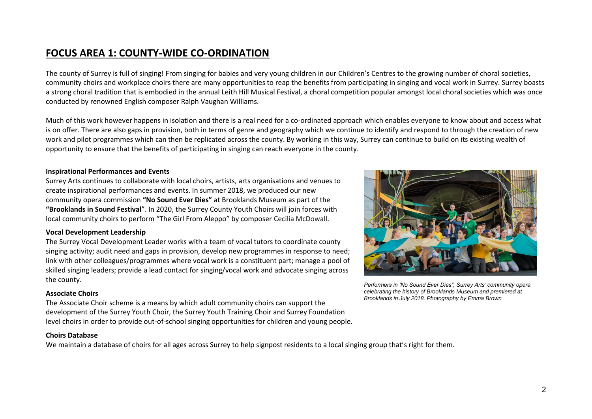# **FOCUS AREA 1: COUNTY-WIDE CO-ORDINATION**

The county of Surrey is full of singing! From singing for babies and very young children in our Children's Centres to the growing number of choral societies, community choirs and workplace choirs there are many opportunities to reap the benefits from participating in singing and vocal work in Surrey. Surrey boasts a strong choral tradition that is embodied in the annual Leith Hill Musical Festival, a choral competition popular amongst local choral societies which was once conducted by renowned English composer Ralph Vaughan Williams.

Much of this work however happens in isolation and there is a real need for a co-ordinated approach which enables everyone to know about and access what is on offer. There are also gaps in provision, both in terms of genre and geography which we continue to identify and respond to through the creation of new work and pilot programmes which can then be replicated across the county. By working in this way, Surrey can continue to build on its existing wealth of opportunity to ensure that the benefits of participating in singing can reach everyone in the county.

#### **Inspirational Performances and Events**

Surrey Arts continues to collaborate with local choirs, artists, arts organisations and venues to create inspirational performances and events. In summer 2018, we produced our new community opera commission **"No Sound Ever Dies"** at Brooklands Museum as part of the **"Brooklands in Sound Festival**". In 2020, the Surrey County Youth Choirs will join forces with local community choirs to perform "The Girl From Aleppo" by composer Cecilia McDowall.

#### **Vocal Development Leadership**

The Surrey Vocal Development Leader works with a team of vocal tutors to coordinate county singing activity; audit need and gaps in provision, develop new programmes in response to need; link with other colleagues/programmes where vocal work is a constituent part; manage a pool of skilled singing leaders; provide a lead contact for singing/vocal work and advocate singing across the county.

#### **Associate Choirs**

The Associate Choir scheme is a means by which adult community choirs can support the development of the Surrey Youth Choir, the Surrey Youth Training Choir and Surrey Foundation level choirs in order to provide out-of-school singing opportunities for children and young people.

#### **Choirs Database**

We maintain a database of choirs for all ages across Surrey to help signpost residents to a local singing group that's right for them.



*Performers in 'No Sound Ever Dies", Surrey Arts' community opera celebrating the history of Brooklands Museum and premiered at Brooklands in July 2018. Photography by Emma Brown*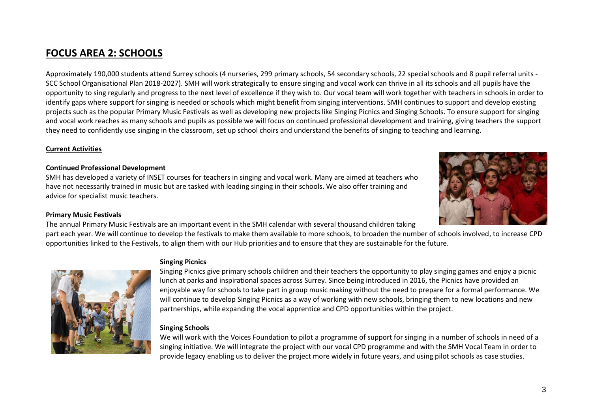**FOCUS AREA 2: SCHOOLS**

Approximately 190,000 students attend Surrey schools (4 nurseries, 299 primary schools, 54 secondary schools, 22 special schools and 8 pupil referral units - SCC School Organisational Plan 2018-2027). SMH will work strategically to ensure singing and vocal work can thrive in all its schools and all pupils have the opportunity to sing regularly and progress to the next level of excellence if they wish to. Our vocal team will work together with teachers in schools in order to identify gaps where support for singing is needed or schools which might benefit from singing interventions. SMH continues to support and develop existing projects such as the popular Primary Music Festivals as well as developing new projects like Singing Picnics and Singing Schools. To ensure support for singing and vocal work reaches as many schools and pupils as possible we will focus on continued professional development and training, giving teachers the support they need to confidently use singing in the classroom, set up school choirs and understand the benefits of singing to teaching and learning.

## **Current Activities**

## **Continued Professional Development**

SMH has developed a variety of INSET courses for teachers in singing and vocal work. Many are aimed at teachers who have not necessarily trained in music but are tasked with leading singing in their schools. We also offer training and advice for specialist music teachers.

#### **Primary Music Festivals**

The annual Primary Music Festivals are an important event in the SMH calendar with several thousand children taking part each year. We will continue to develop the festivals to make them available to more schools, to broaden the number of schools involved, to increase CPD opportunities linked to the Festivals, to align them with our Hub priorities and to ensure that they are sustainable for the future.

# **Singing Picnics**

Singing Picnics give primary schools children and their teachers the opportunity to play singing games and enjoy a picnic lunch at parks and inspirational spaces across Surrey. Since being introduced in 2016, the Picnics have provided an enjoyable way for schools to take part in group music making without the need to prepare for a formal performance. We will continue to develop Singing Picnics as a way of working with new schools, bringing them to new locations and new partnerships, while expanding the vocal apprentice and CPD opportunities within the project.

#### **Singing Schools**

We will work with the Voices Foundation to pilot a programme of support for singing in a number of schools in need of a singing initiative. We will integrate the project with our vocal CPD programme and with the SMH Vocal Team in order to provide legacy enabling us to deliver the project more widely in future years, and using pilot schools as case studies.



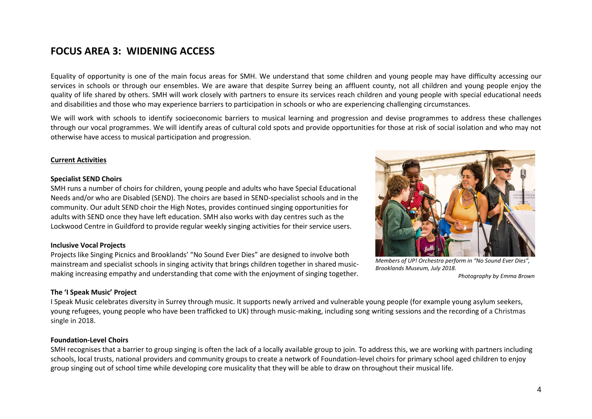# **FOCUS AREA 3: WIDENING ACCESS**

Equality of opportunity is one of the main focus areas for SMH. We understand that some children and young people may have difficulty accessing our services in schools or through our ensembles. We are aware that despite Surrey being an affluent county, not all children and young people enjoy the quality of life shared by others. SMH will work closely with partners to ensure its services reach children and young people with special educational needs and disabilities and those who may experience barriers to participation in schools or who are experiencing challenging circumstances.

We will work with schools to identify socioeconomic barriers to musical learning and progression and devise programmes to address these challenges through our vocal programmes. We will identify areas of cultural cold spots and provide opportunities for those at risk of social isolation and who may not otherwise have access to musical participation and progression.

## **Current Activities**

#### **Specialist SEND Choirs**

SMH runs a number of choirs for children, young people and adults who have Special Educational Needs and/or who are Disabled (SEND). The choirs are based in SEND-specialist schools and in the community. Our adult SEND choir the High Notes, provides continued singing opportunities for adults with SEND once they have left education. SMH also works with day centres such as the Lockwood Centre in Guildford to provide regular weekly singing activities for their service users.

#### **Inclusive Vocal Projects**

Projects like Singing Picnics and Brooklands' "No Sound Ever Dies" are designed to involve both mainstream and specialist schools in singing activity that brings children together in shared musicmaking increasing empathy and understanding that come with the enjoyment of singing together.



*Members of UP! Orchestra perform in "No Sound Ever Dies", Brooklands Museum, July 2018. Photography by Emma Brown*

# **The 'I Speak Music' Project**

I Speak Music celebrates diversity in Surrey through music. It supports newly arrived and vulnerable young people (for example young asylum seekers, young refugees, young people who have been trafficked to UK) through music-making, including song writing sessions and the recording of a Christmas single in 2018.

# **Foundation-Level Choirs**

SMH recognises that a barrier to group singing is often the lack of a locally available group to join. To address this, we are working with partners including schools, local trusts, national providers and community groups to create a network of Foundation-level choirs for primary school aged children to enjoy group singing out of school time while developing core musicality that they will be able to draw on throughout their musical life.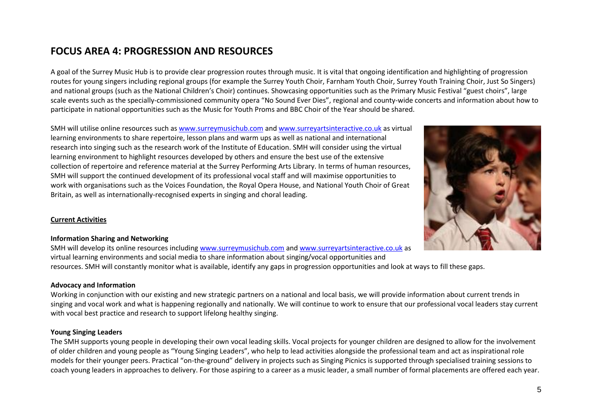# **FOCUS AREA 4: PROGRESSION AND RESOURCES**

A goal of the Surrey Music Hub is to provide clear progression routes through music. It is vital that ongoing identification and highlighting of progression routes for young singers including regional groups (for example the Surrey Youth Choir, Farnham Youth Choir, Surrey Youth Training Choir, Just So Singers) and national groups (such as the National Children's Choir) continues. Showcasing opportunities such as the Primary Music Festival "guest choirs", large scale events such as the specially-commissioned community opera "No Sound Ever Dies", regional and county-wide concerts and information about how to participate in national opportunities such as the Music for Youth Proms and BBC Choir of the Year should be shared.

SMH will utilise online resources such a[s www.surreymusichub.com](http://www.surreymusichub.com/) and [www.surreyartsinteractive.co.uk](http://www.surreyartsinteractive.co.uk/) as virtual learning environments to share repertoire, lesson plans and warm ups as well as national and international research into singing such as the research work of the Institute of Education. SMH will consider using the virtual learning environment to highlight resources developed by others and ensure the best use of the extensive collection of repertoire and reference material at the Surrey Performing Arts Library. In terms of human resources, SMH will support the continued development of its professional vocal staff and will maximise opportunities to work with organisations such as the Voices Foundation, the Royal Opera House, and National Youth Choir of Great Britain, as well as internationally-recognised experts in singing and choral leading.

# **Current Activities**

#### **Information Sharing and Networking**

SMH will develop its online resources including [www.surreymusichub.com](http://www.surreymusichub.com/) and [www.surreyartsinteractive.co.uk](http://www.surreyartsinteractive.co.uk/) as virtual learning environments and social media to share information about singing/vocal opportunities and resources. SMH will constantly monitor what is available, identify any gaps in progression opportunities and look at ways to fill these gaps.

#### **Advocacy and Information**

Working in conjunction with our existing and new strategic partners on a national and local basis, we will provide information about current trends in singing and vocal work and what is happening regionally and nationally. We will continue to work to ensure that our professional vocal leaders stay current with vocal best practice and research to support lifelong healthy singing.

#### **Young Singing Leaders**

The SMH supports young people in developing their own vocal leading skills. Vocal projects for younger children are designed to allow for the involvement of older children and young people as "Young Singing Leaders", who help to lead activities alongside the professional team and act as inspirational role models for their younger peers. Practical "on-the-ground" delivery in projects such as Singing Picnics is supported through specialised training sessions to coach young leaders in approaches to delivery. For those aspiring to a career as a music leader, a small number of formal placements are offered each year.

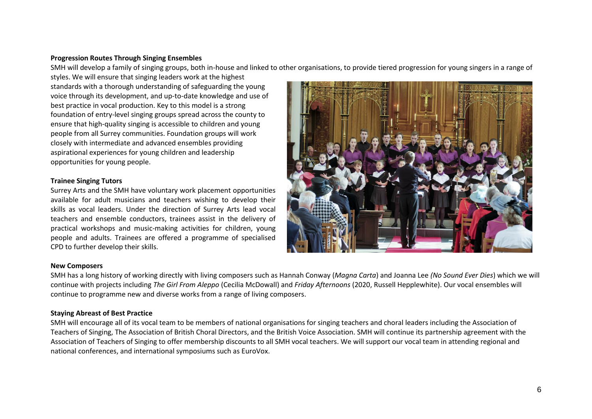# **Progression Routes Through Singing Ensembles**

SMH will develop a family of singing groups, both in-house and linked to other organisations, to provide tiered progression for young singers in a range of

styles. We will ensure that singing leaders work at the highest standards with a thorough understanding of safeguarding the young voice through its development, and up-to-date knowledge and use of best practice in vocal production. Key to this model is a strong foundation of entry-level singing groups spread across the county to ensure that high-quality singing is accessible to children and young people from all Surrey communities. Foundation groups will work closely with intermediate and advanced ensembles providing aspirational experiences for young children and leadership opportunities for young people.

# **Trainee Singing Tutors**

Surrey Arts and the SMH have voluntary work placement opportunities available for adult musicians and teachers wishing to develop their skills as vocal leaders. Under the direction of Surrey Arts lead vocal teachers and ensemble conductors, trainees assist in the delivery of practical workshops and music-making activities for children, young people and adults. Trainees are offered a programme of specialised CPD to further develop their skills.



#### **New Composers**

SMH has a long history of working directly with living composers such as Hannah Conway (*Magna Carta*) and Joanna Lee *(No Sound Ever Dies*) which we will continue with projects including *The Girl From Aleppo* (Cecilia McDowall) and *Friday Afternoons* (2020, Russell Hepplewhite). Our vocal ensembles will continue to programme new and diverse works from a range of living composers.

#### **Staying Abreast of Best Practice**

SMH will encourage all of its vocal team to be members of national organisations for singing teachers and choral leaders including the Association of Teachers of Singing, The Association of British Choral Directors, and the British Voice Association. SMH will continue its partnership agreement with the Association of Teachers of Singing to offer membership discounts to all SMH vocal teachers. We will support our vocal team in attending regional and national conferences, and international symposiums such as EuroVox.